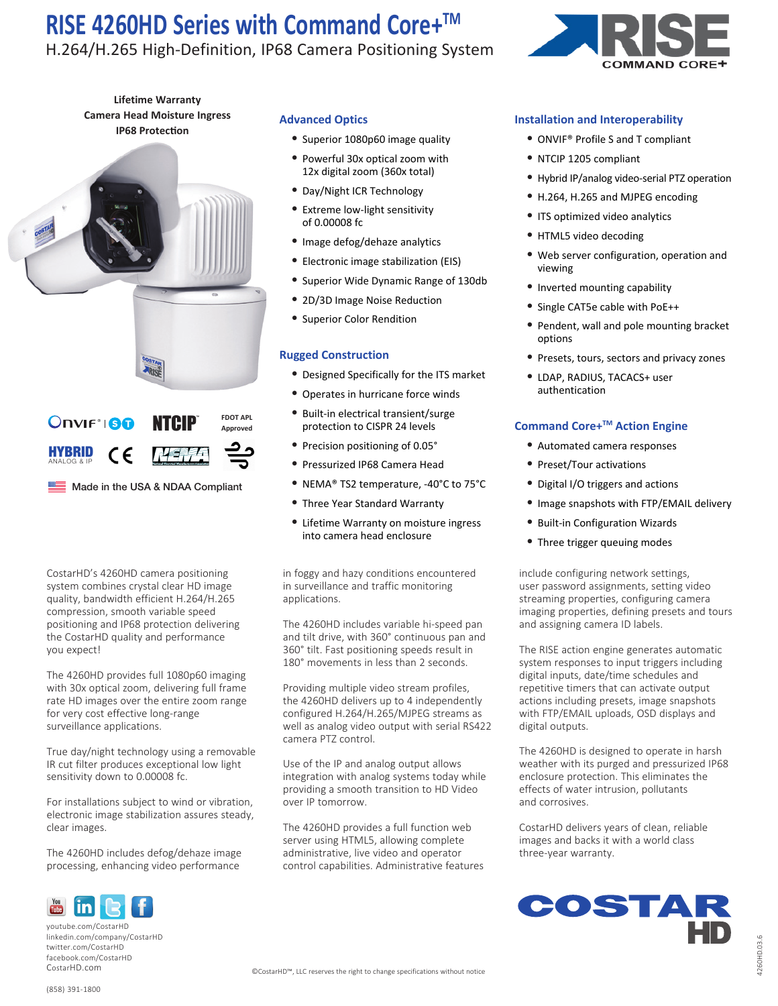# H.264/H.265 High-Definition, IP68 Camera Positioning System



**Lifetime Warranty Camera Head Moisture Ingress IP68 Protection**



**Approved** HYBRID ANALOG & IP NSFF 1 CE

 $\equiv$  Made in the USA & NDAA Compliant

CostarHD's 4260HD camera positioning system combines crystal clear HD image quality, bandwidth efficient H.264/H.265 compression, smooth variable speed positioning and IP68 protection delivering the CostarHD quality and performance you expect!

The 4260HD provides full 1080p60 imaging with 30x optical zoom, delivering full frame rate HD images over the entire zoom range for very cost effective long-range surveillance applications.

True day/night technology using a removable IR cut filter produces exceptional low light sensitivity down to 0.00008 fc.

For installations subject to wind or vibration, electronic image stabilization assures steady, clear images.

The 4260HD includes defog/dehaze image processing, enhancing video performance

### **Advanced Optics**

- Superior 1080p60 image quality
- Powerful 30x optical zoom with 12x digital zoom (360x total)
- Day/Night ICR Technology
- Extreme low-light sensitivity of 0.00008 fc
- Image defog/dehaze analytics
- Electronic image stabilization (EIS)
- Superior Wide Dynamic Range of 130db
- 2D/3D Image Noise Reduction
- Superior Color Rendition

### **Rugged Construction**

- Designed Specifically for the ITS market
- Operates in hurricane force winds
- Built-in electrical transient/surge protection to CISPR 24 levels
- Precision positioning of 0.05°
- Pressurized IP68 Camera Head
- NEMA® TS2 temperature, -40°C to 75°C
- Three Year Standard Warranty
- Lifetime Warranty on moisture ingress into camera head enclosure

in foggy and hazy conditions encountered in surveillance and traffic monitoring applications.

The 4260HD includes variable hi-speed pan and tilt drive, with 360° continuous pan and 360° tilt. Fast positioning speeds result in 180° movements in less than 2 seconds.

Providing multiple video stream profiles, the 4260HD delivers up to 4 independently configured H.264/H.265/MJPEG streams as well as analog video output with serial RS422 camera PTZ control.

Use of the IP and analog output allows integration with analog systems today while providing a smooth transition to HD Video over IP tomorrow.

The 4260HD provides a full function web server using HTML5, allowing complete administrative, live video and operator control capabilities. Administrative features

## **Installation and Interoperability**

- ONVIF® Profile S and T compliant
- NTCIP 1205 compliant
- Hybrid IP/analog video-serial PTZ operation
- H.264, H.265 and MJPEG encoding
- ITS optimized video analytics
- HTML5 video decoding
- Web server configuration, operation and viewing
- Inverted mounting capability
- Single CAT5e cable with PoE++
- Pendent, wall and pole mounting bracket options
- Presets, tours, sectors and privacy zones
- LDAP, RADIUS, TACACS+ user authentication

## **Command Core+TM Action Engine**

- Automated camera responses
- Preset/Tour activations
- Digital I/O triggers and actions
- Image snapshots with FTP/EMAIL delivery
- Built-in Configuration Wizards
- Three trigger queuing modes

include configuring network settings, user password assignments, setting video streaming properties, configuring camera imaging properties, defining presets and tours and assigning camera ID labels.

The RISE action engine generates automatic system responses to input triggers including digital inputs, date/time schedules and repetitive timers that can activate output actions including presets, image snapshots with FTP/EMAIL uploads, OSD displays and digital outputs.

The 4260HD is designed to operate in harsh weather with its purged and pressurized IP68 enclosure protection. This eliminates the effects of water intrusion, pollutants and corrosives.

CostarHD delivers years of clean, reliable images and backs it with a world class three-year warranty.



youtube.com/CostarHD linkedin.com/company/CostarHD twitter.com/CostarHD facebook.com/CostarHD

ın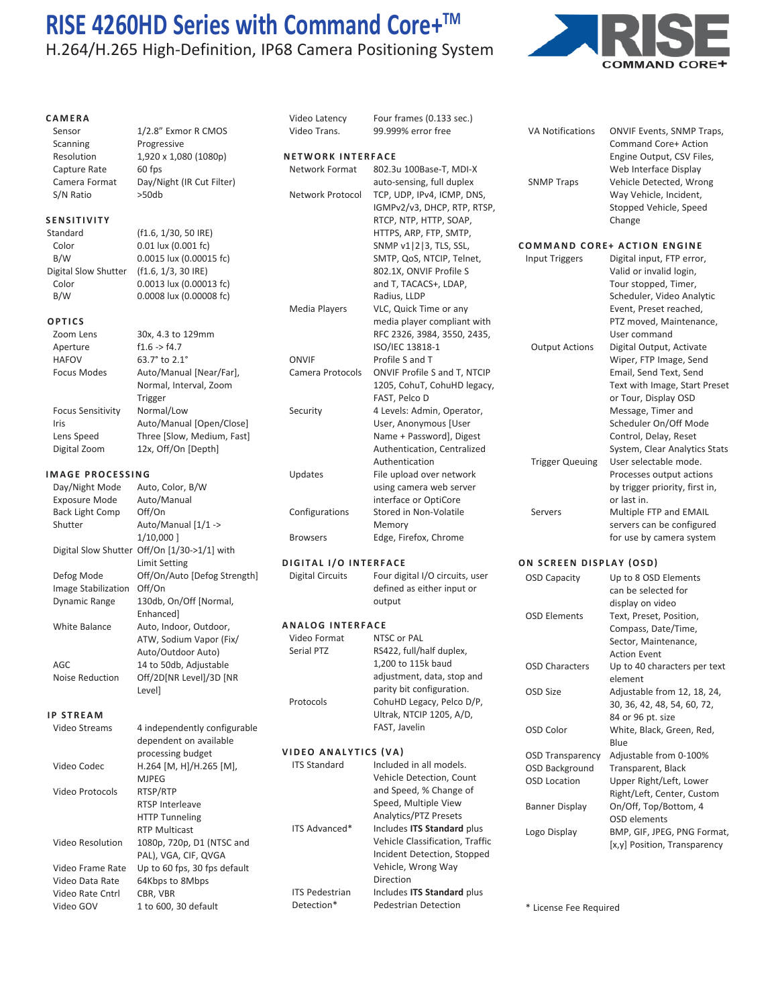# H.264/H.265 High-Definition, IP68 Camera Positioning System



VA Notifications ONVIF Events, SNMP Traps,

|  | CAMERA |  |  |
|--|--------|--|--|
|  |        |  |  |

Sensor 1/2.8" Exmor R CMOS Scanning Progressive Resolution 1,920 x 1,080 (1080p) Capture Rate 60 fps Camera Format Day/Night (IR Cut Filter) S/N Ratio >50db

#### **SENSITIVITY**

Standard (f1.6, 1/30, 50 IRE) Color 0.01 lux (0.001 fc) B/W 0.0015 lux (0.00015 fc) Digital Slow Shutter (f1.6, 1/3, 30 IRE) Color 0.0013 lux (0.00013 fc) B/W 0.0008 lux (0.00008 fc)

#### **OPTICS**

| Zoom Lens                | 30x, 4.3 to 129mm          |
|--------------------------|----------------------------|
| Aperture                 | f1.6 > f4.7                |
| <b>HAFOV</b>             | 63.7° to 2.1°              |
| <b>Focus Modes</b>       | Auto/Manual [Near/Far],    |
|                          | Normal, Interval, Zoom     |
|                          | Trigger                    |
| <b>Focus Sensitivity</b> | Normal/Low                 |
| Iris                     | Auto/Manual [Open/Close]   |
| Lens Speed               | Three [Slow, Medium, Fast] |
| Digital Zoom             | 12x, Off/On [Depth]        |

#### **IMAGE PROCESSING**

| Day/Night Mode         | Auto, Color, B/W                             |                         | using camera web serv     |
|------------------------|----------------------------------------------|-------------------------|---------------------------|
| <b>Exposure Mode</b>   | Auto/Manual                                  |                         | interface or OptiCore     |
| <b>Back Light Comp</b> | Off/On                                       | Configurations          | Stored in Non-Volatile    |
| Shutter                | Auto/Manual [1/1 ->                          |                         | Memory                    |
|                        | 1/10,000 ]                                   | <b>Browsers</b>         | Edge, Firefox, Chrome     |
|                        | Digital Slow Shutter Off/On [1/30->1/1] with |                         |                           |
|                        | Limit Setting                                | DIGITAL I/O INTERFACE   |                           |
| Defog Mode             | Off/On/Auto [Defog Strength]                 | <b>Digital Circuits</b> | Four digital I/O circuits |
| Image Stabilization    | Off/On                                       |                         | defined as either input   |
| Dynamic Range          | 130db, On/Off [Normal,                       |                         | output                    |
|                        | Enhanced]                                    |                         |                           |
| <b>White Balance</b>   | Auto, Indoor, Outdoor,                       | <b>ANALOG INTERFACE</b> |                           |
|                        | ATW, Sodium Vapor (Fix/                      | Video Format            | NTSC or PAL               |
|                        | Auto/Outdoor Auto)                           | Serial PTZ              | RS422, full/half duplex,  |
| AGC                    | 14 to 50db, Adjustable                       |                         | 1,200 to 115k baud        |
| Noise Reduction        | Off/2D[NR Level]/3D [NR                      |                         | adjustment, data, stop    |
|                        | Level]                                       |                         | parity bit configuration  |
|                        |                                              | Protocols               | CohuHD Legacy, Pelco      |
| <b>IP STREAM</b>       |                                              |                         | Ultrak, NTCIP 1205, A/I   |
| Video Streams          | 4 independently configurable                 |                         | FAST, Javelin             |
|                        | dependent on available                       |                         |                           |
|                        | processing budget                            | VIDEO ANALYTICS (VA)    |                           |
| Video Codec            | H.264 [M, H]/H.265 [M],                      | <b>ITS Standard</b>     | Included in all models.   |
|                        | <b>MJPEG</b>                                 |                         | Vehicle Detection, Cou    |
| Video Protocols        | RTSP/RTP                                     |                         | and Speed, % Change       |
|                        | <b>RTSP Interleave</b>                       |                         | Speed, Multiple View      |
|                        | <b>HTTP Tunneling</b>                        |                         | Analytics/PTZ Presets     |
|                        | <b>RTP Multicast</b>                         | ITS Advanced*           | Includes ITS Standard     |
| Video Resolution       | 1080p, 720p, D1 (NTSC and                    |                         | Vehicle Classification,   |
|                        | PAL), VGA, CIF, QVGA                         |                         | Incident Detection, Sto   |
| Video Frame Rate       | Up to 60 fps, 30 fps default                 |                         | Vehicle, Wrong Way        |

| Video Latency                | Four frames (0.133 sec.)                                |   |
|------------------------------|---------------------------------------------------------|---|
| Video Trans.                 | 99.999% error free                                      |   |
|                              |                                                         |   |
| <b>NETWORK INTERFACE</b>     |                                                         |   |
| Network Format               | 802.3u 100Base-T. MDI-X                                 |   |
|                              | auto-sensing, full duplex                               |   |
| Network Protocol             | TCP, UDP, IPv4, ICMP, DNS,                              |   |
|                              | IGMPv2/v3, DHCP, RTP, RTSP,                             |   |
|                              | RTCP, NTP, HTTP, SOAP,                                  |   |
|                              | HTTPS, ARP, FTP, SMTP,                                  |   |
|                              | SNMP v1   2   3, TLS, SSL,                              | ſ |
|                              | SMTP, QoS, NTCIP, Telnet,                               |   |
|                              | 802.1X, ONVIF Profile S                                 |   |
|                              | and T, TACACS+, LDAP,                                   |   |
|                              | Radius, LLDP                                            |   |
| Media Players                | VLC, Quick Time or any                                  |   |
|                              | media player compliant with                             |   |
|                              | RFC 2326, 3984, 3550, 2435,                             |   |
|                              | ISO/IEC 13818-1                                         |   |
| ONVIF                        | Profile S and T                                         |   |
| Camera Protocols             | ONVIF Profile S and T, NTCIP                            |   |
|                              | 1205, CohuT, CohuHD legacy,                             |   |
|                              | FAST, Pelco D                                           |   |
| Security                     | 4 Levels: Admin, Operator,                              |   |
|                              | User, Anonymous [User                                   |   |
|                              | Name + Password], Digest<br>Authentication, Centralized |   |
|                              | Authentication                                          |   |
|                              | File upload over network                                |   |
| Updates                      | using camera web server                                 |   |
|                              | interface or OptiCore                                   |   |
| Configurations               | Stored in Non-Volatile                                  |   |
|                              | Memory                                                  |   |
| <b>Browsers</b>              | Edge, Firefox, Chrome                                   |   |
|                              |                                                         |   |
| <b>DIGITAL I/O INTERFACE</b> |                                                         | C |
| <b>Digital Circuits</b>      | Four digital I/O circuits, user                         |   |
|                              | defined as either input or                              |   |
|                              | output                                                  |   |
|                              |                                                         |   |

| Video Format | NTSC or PAL                |
|--------------|----------------------------|
| Serial PTZ   | RS422, full/half duplex,   |
|              | 1,200 to 115k baud         |
|              | adjustment, data, stop and |
|              | parity bit configuration.  |
| Protocols    | CohuHD Legacy, Pelco D/P,  |
|              | Ultrak, NTCIP 1205, A/D,   |
|              | FAST, Javelin              |
|              |                            |

|                  | processing budget            | VIDEO ANALYTICS (VA)  |                                 |
|------------------|------------------------------|-----------------------|---------------------------------|
| Video Codec      | $H.264$ [M, H]/H.265 [M],    | <b>ITS Standard</b>   | Included in all models.         |
|                  | <b>MJPEG</b>                 |                       | Vehicle Detection, Count        |
| Video Protocols  | RTSP/RTP                     |                       | and Speed, % Change of          |
|                  | RTSP Interleave              |                       | Speed, Multiple View            |
|                  | <b>HTTP Tunneling</b>        |                       | Analytics/PTZ Presets           |
|                  | <b>RTP Multicast</b>         | ITS Advanced*         | Includes ITS Standard plus      |
| Video Resolution | 1080p, 720p, D1 (NTSC and    |                       | Vehicle Classification, Traffic |
|                  | PAL), VGA, CIF, QVGA         |                       | Incident Detection, Stopped     |
| Video Frame Rate | Up to 60 fps, 30 fps default |                       | Vehicle, Wrong Way              |
| Video Data Rate  | 64Kbps to 8Mbps              |                       | <b>Direction</b>                |
| Video Rate Cntrl | CBR. VBR                     | <b>ITS Pedestrian</b> | Includes ITS Standard plus      |
| Video GOV        | 1 to 600, 30 default         | Detection*            | Pedestrian Detection            |

 Command Core+ Action Engine Output, CSV Files, Web Interface Display SNMP Traps Vehicle Detected, Wrong Way Vehicle, Incident, Stopped Vehicle, Speed Change **COMMAND CORE+ ACTION ENGINE** Input Triggers Digital input, FTP error, Valid or invalid login, Tour stopped, Timer, Scheduler, Video Analytic Event, Preset reached, PTZ moved, Maintenance, User command Output Actions Digital Output, Activate Wiper, FTP Image, Send Email, Send Text, Send

> Text with Image, Start Preset or Tour, Display OSD Message, Timer and Scheduler On/Off Mode Control, Delay, Reset System, Clear Analytics Stats

 Processes output actions by trigger priority, first in,

 servers can be configured for use by camera system

### **ON SCREEN DISPLAY (OSD)**

Trigger Queuing User selectable mode.

 or last in. Servers Multiple FTP and EMAIL

| <b>OSD Capacity</b>     | Up to 8 OSD Elements         |
|-------------------------|------------------------------|
|                         | can be selected for          |
|                         | display on video             |
| OSD Flements            | Text, Preset, Position,      |
|                         | Compass, Date/Time,          |
|                         | Sector, Maintenance,         |
|                         | <b>Action Fyent</b>          |
| OSD Characters          | Up to 40 characters per text |
|                         | element                      |
| OSD Size                | Adjustable from 12, 18, 24,  |
|                         | 30, 36, 42, 48, 54, 60, 72,  |
|                         | 84 or 96 pt. size            |
| OSD Color               | White, Black, Green, Red,    |
|                         | Blue                         |
| <b>OSD Transparency</b> | Adjustable from 0-100%       |
| OSD Background          | Transparent, Black           |
| <b>OSD Location</b>     | Upper Right/Left, Lower      |
|                         | Right/Left, Center, Custom   |
| <b>Banner Display</b>   | On/Off, Top/Bottom, 4        |
|                         | OSD elements                 |
| Logo Display            | BMP, GIF, JPEG, PNG Format,  |
|                         | [x,y] Position, Transparency |

\* License Fee Required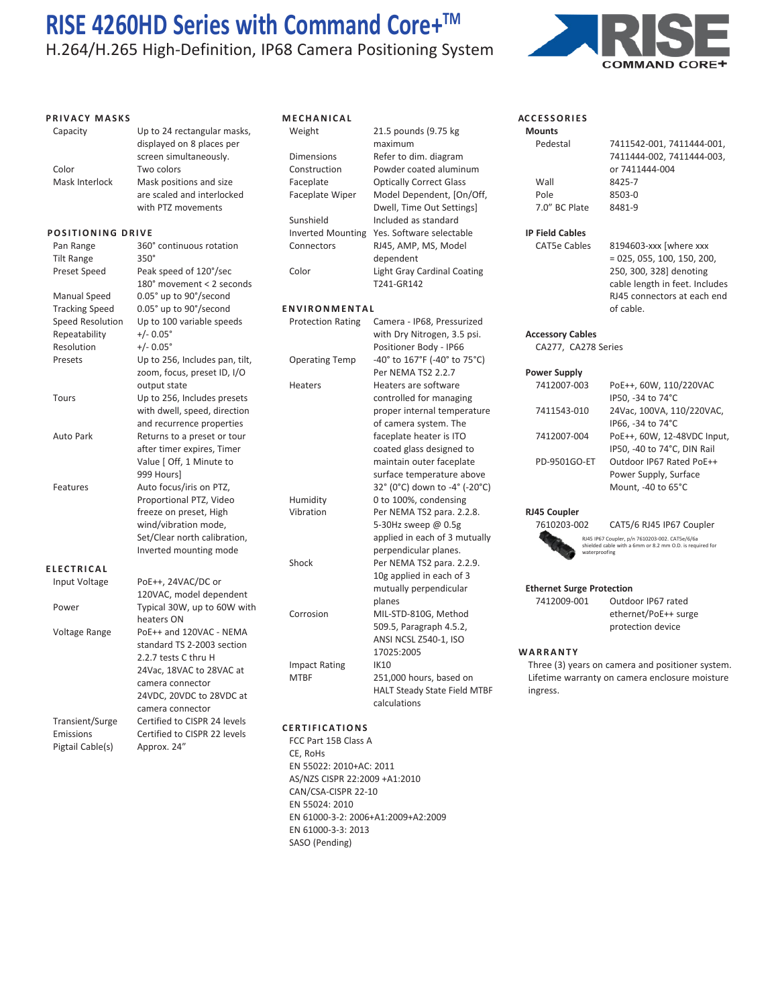H.264/H.265 High-Definition, IP68 Camera Positioning System

#### **PRIVACY MASKS**



| Capacity              | Up to 24 rectangular masks,<br>displayed on 8 places per      | Weight              |
|-----------------------|---------------------------------------------------------------|---------------------|
|                       | screen simultaneously.                                        | <b>Dimensions</b>   |
| Color                 | Two colors                                                    | Constructior        |
| Mask Interlock        | Mask positions and size                                       | Faceplate           |
|                       | are scaled and interlocked<br>with PTZ movements              | Faceplate W         |
|                       |                                                               | Sunshield           |
| POSITIONING DRIVE     |                                                               | <b>Inverted Mo</b>  |
| Pan Range             | 360° continuous rotation                                      | Connectors          |
| <b>Tilt Range</b>     | 350°                                                          |                     |
| Preset Speed          | Peak speed of 120°/sec                                        | Color               |
|                       | 180° movement < 2 seconds                                     |                     |
| Manual Speed          | 0.05° up to 90°/second                                        |                     |
| <b>Tracking Speed</b> | 0.05° up to 90°/second                                        | <b>ENVIRONM</b>     |
| Speed Resolution      | Up to 100 variable speeds                                     | <b>Protection R</b> |
| Repeatability         | $+/- 0.05^{\circ}$                                            |                     |
| Resolution            | $+/- 0.05°$                                                   |                     |
| Presets               | Up to 256, Includes pan, tilt,<br>zoom, focus, preset ID, I/O | Operating Te        |
|                       | output state                                                  | <b>Heaters</b>      |
| Tours                 | Up to 256, Includes presets                                   |                     |
|                       | with dwell, speed, direction                                  |                     |
|                       | and recurrence properties                                     |                     |
| <b>Auto Park</b>      | Returns to a preset or tour                                   |                     |
|                       | after timer expires, Timer                                    |                     |
|                       | Value [ Off, 1 Minute to                                      |                     |
|                       | 999 Hours]                                                    |                     |
| Features              | Auto focus/iris on PTZ,                                       |                     |
|                       | Proportional PTZ, Video                                       | Humidity            |
|                       | freeze on preset, High                                        | Vibration           |
|                       | wind/vibration mode,                                          |                     |
|                       | Set/Clear north calibration,                                  |                     |
|                       | Inverted mounting mode                                        |                     |
| ELECTRICAL            |                                                               | Shock               |
| Input Voltage         | PoE++, 24VAC/DC or                                            |                     |
|                       | 120VAC, model dependent                                       |                     |
| Power                 | Typical 30W, up to 60W with                                   |                     |
|                       | heaters ON                                                    | Corrosion           |
| Voltage Range         | PoE++ and 120VAC - NEMA                                       |                     |
|                       | standard TS 2-2003 section                                    |                     |
|                       | 2.2.7 tests C thru H                                          |                     |
|                       | 24Vac, 18VAC to 28VAC at                                      | <b>Impact Ratin</b> |
|                       | camera connector                                              | <b>MTBF</b>         |
|                       | 24VDC, 20VDC to 28VDC at                                      |                     |
|                       | camera connector                                              |                     |
| Transient/Surge       | Certified to CISPR 24 levels                                  |                     |
| Emissions             | Certified to CISPR 22 levels                                  | <b>CERTIFICAT</b>   |
|                       |                                                               |                     |

Pigtail Cable(s) Approx. 24"

## 21.5 pounds (9.75 kg) maximum Refer to dim. diagram n Powder coated aluminum Optically Correct Glass Viper Model Dependent, [On/Off, Dwell, Time Out Settings] Included as standard Junting Yes. Software selectable RJ45, AMP, MS, Model dependent Light Gray Cardinal Coating T241-GR142 **ENTAL** ating Camera - IP68, Pressurized with Dry Nitrogen, 3.5 psi. Positioner Body - IP66 emp  $-40^{\circ}$  to  $167^{\circ}$ F (-40° to 75°C) Per NEMA TS2 2.2.7 Heaters are software controlled for managing proper internal temperature of camera system. The faceplate heater is ITO coated glass designed to maintain outer faceplate

## surface temperature above 32° (0°C) down to -4° (-20°C) 0 to 100%, condensing Per NEMA TS2 para. 2.2.8. 5-30Hz sweep @ 0.5g applied in each of 3 mutually perpendicular planes. Per NEMA TS2 para. 2.2.9. 10g applied in each of 3 mutually perpendicular planes MIL-STD-810G, Method 509.5, Paragraph 4.5.2, ANSI NCSL Z540-1, ISO 17025:2005 IG IK10 251,000 hours, based on HALT Steady State Field MTBF calculations

#### **CERTIFICATIONS**

FCC Part 15B Class A CE, RoHs EN 55022: 2010+AC: 2011 AS/NZS CISPR 22:2009 +A1:2010 CAN/CSA-CISPR 22-10 EN 55024: 2010 EN 61000-3-2: 2006+A1:2009+A2:2009 EN 61000-3-3: 2013 SASO (Pending)



#### **ACCESSORIES Mounts**

| Mounts                 |                                |
|------------------------|--------------------------------|
| Pedestal               | 7411542-001.7411444-001.       |
|                        | 7411444-002, 7411444-003,      |
|                        | or 7411444-004                 |
| Wall                   | 8425-7                         |
| Pole                   | 8503-0                         |
| 7.0" BC Plate          | 8481-9                         |
| <b>IP Field Cables</b> |                                |
| CAT5e Cables           | 8194603-xxx [where xxx         |
|                        | $= 025.055.100.150.200.$       |
|                        | 250, 300, 328] denoting        |
|                        | cable length in feet. Includes |
|                        | RJ45 connectors at each end    |
|                        | of cable.                      |

#### **Accessory Cables**

CA277, CA278 Series

#### **Power Supply** 741200

| 7412007-003  | PoE++. 60W. 110/220VAC      |
|--------------|-----------------------------|
|              | IP50. -34 to 74°C           |
| 7411543-010  | 24Vac. 100VA. 110/220VAC.   |
|              | IP66, -34 to 74°C           |
| 7412007-004  | PoE++, 60W, 12-48VDC Input  |
|              | IP50, -40 to 74°C, DIN Rail |
| PD-9501GO-ET | Outdoor IP67 Rated PoE++    |
|              | Power Supply, Surface       |
|              | Mount, -40 to 65°C          |
|              |                             |

### **RJ45 Coupler**



RJ45 IP67 Coupler, p/n 7610203-002. CAT5e/6/6a shielded cable with a 6mm or 8.2 mm O.D. is required for waterproofing 7610203-002 CAT5/6 RJ45 IP67 Coupler

#### **Ethernet Surge Protection**

7412009-001 Outdoor IP67 rated ethernet/PoE++ surge protection device

#### **WARRANTY**

Three (3) years on camera and positioner system. Lifetime warranty on camera enclosure moisture ingress.